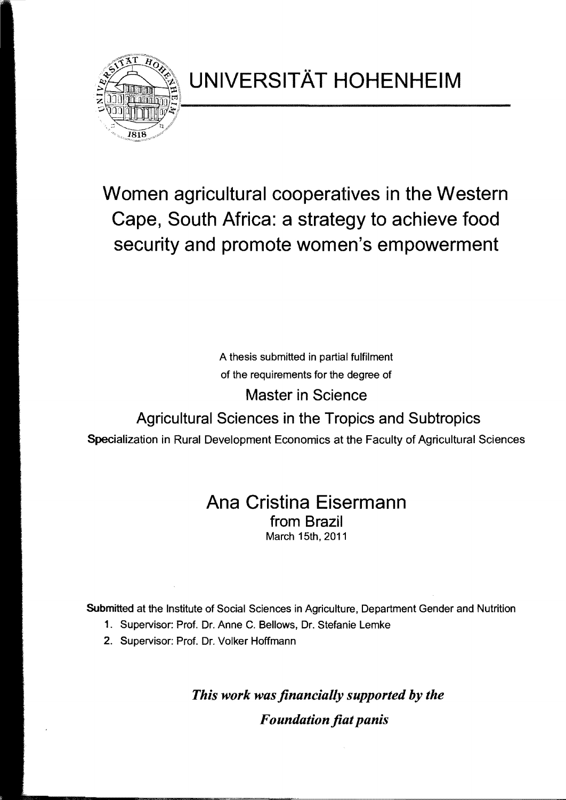

## Women agricultural cooperatives in the Western Cape, South Africa: a strategy to achieve food security and promote women's empowerment

A thesis submitted in partial fulfilment of the requirements for the degree of

Master in Science

## Agricultural Sciences in the Tropics and Subtropics

Specialization in Rural Development Economics at the Faculty of Agricultural Sciences

## Ana Cristina Eisermann from Brazil March 15th, 2011

Submitted at the Institute of Social Sciences in Agriculture, Department Gender and Nutrition

- 1. Supervisor: Prof. Dr. Anne C. Bellows, Dr. Stefanie Lemke
- 2. Supervisor: Prof. Dr. Volker Hoffmann

*This work was flnancially supported by the F oundation flat panis*